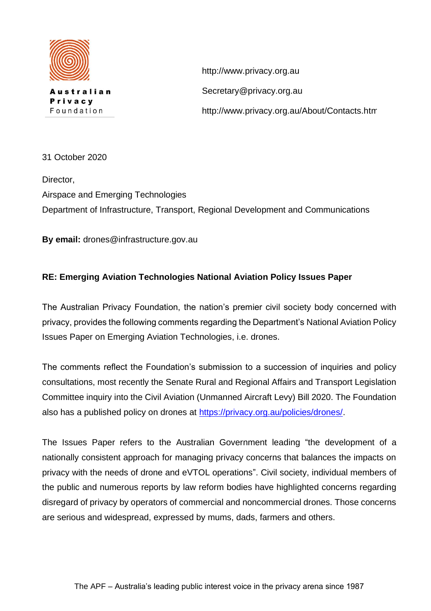

**lustralian** Privacy Foundation

http://www.privacy.org.au Secretary@privacy.org.au http://www.privacy.org.au/About/Contacts.html

31 October 2020

Director, Airspace and Emerging Technologies Department of Infrastructure, Transport, Regional Development and Communications

**By email:** drones@infrastructure.gov.au

## **RE: Emerging Aviation Technologies National Aviation Policy Issues Paper**

The Australian Privacy Foundation, the nation's premier civil society body concerned with privacy, provides the following comments regarding the Department's National Aviation Policy Issues Paper on Emerging Aviation Technologies, i.e. drones.

The comments reflect the Foundation's submission to a succession of inquiries and policy consultations, most recently the Senate Rural and Regional Affairs and Transport Legislation Committee inquiry into the Civil Aviation (Unmanned Aircraft Levy) Bill 2020. The Foundation also has a published policy on drones at [https://privacy.org.au/policies/drones/.](https://privacy.org.au/policies/drones/)

The Issues Paper refers to the Australian Government leading "the development of a nationally consistent approach for managing privacy concerns that balances the impacts on privacy with the needs of drone and eVTOL operations". Civil society, individual members of the public and numerous reports by law reform bodies have highlighted concerns regarding disregard of privacy by operators of commercial and noncommercial drones. Those concerns are serious and widespread, expressed by mums, dads, farmers and others.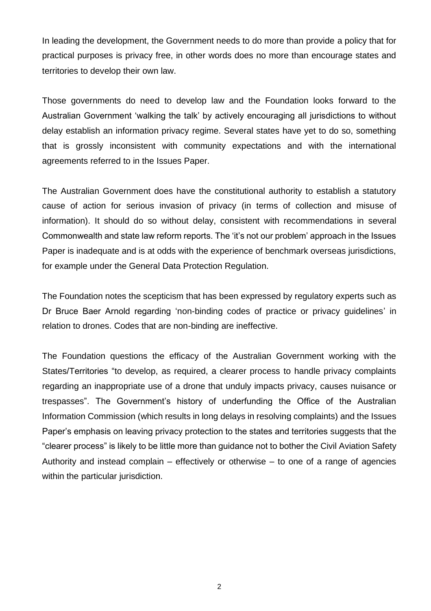In leading the development, the Government needs to do more than provide a policy that for practical purposes is privacy free, in other words does no more than encourage states and territories to develop their own law.

Those governments do need to develop law and the Foundation looks forward to the Australian Government 'walking the talk' by actively encouraging all jurisdictions to without delay establish an information privacy regime. Several states have yet to do so, something that is grossly inconsistent with community expectations and with the international agreements referred to in the Issues Paper.

The Australian Government does have the constitutional authority to establish a statutory cause of action for serious invasion of privacy (in terms of collection and misuse of information). It should do so without delay, consistent with recommendations in several Commonwealth and state law reform reports. The 'it's not our problem' approach in the Issues Paper is inadequate and is at odds with the experience of benchmark overseas jurisdictions, for example under the General Data Protection Regulation.

The Foundation notes the scepticism that has been expressed by regulatory experts such as Dr Bruce Baer Arnold regarding 'non-binding codes of practice or privacy guidelines' in relation to drones. Codes that are non-binding are ineffective.

The Foundation questions the efficacy of the Australian Government working with the States/Territories "to develop, as required, a clearer process to handle privacy complaints regarding an inappropriate use of a drone that unduly impacts privacy, causes nuisance or trespasses". The Government's history of underfunding the Office of the Australian Information Commission (which results in long delays in resolving complaints) and the Issues Paper's emphasis on leaving privacy protection to the states and territories suggests that the "clearer process" is likely to be little more than guidance not to bother the Civil Aviation Safety Authority and instead complain – effectively or otherwise – to one of a range of agencies within the particular jurisdiction.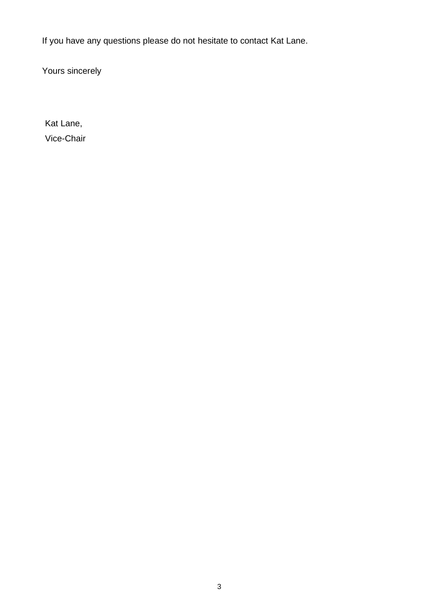If you have any questions please do not hesitate to contact Kat Lane.

Yours sincerely

Kat Lane, Vice-Chair